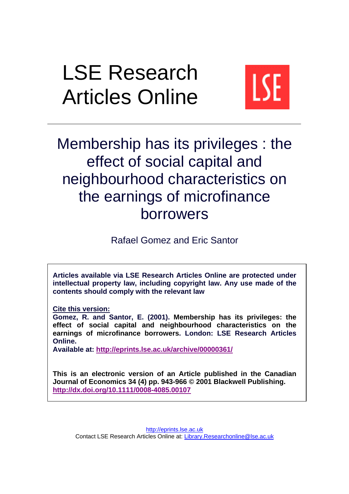# LSE Research Articles Online



## Membership has its privileges : the effect of social capital and neighbourhood characteristics on the earnings of microfinance borrowers

Rafael Gomez and Eric Santor

**Articles available via LSE Research Articles Online are protected under intellectual property law, including copyright law. Any use made of the contents should comply with the relevant law**

**Cite this version:** 

**Gomez, R. and Santor, E. (2001). Membership has its privileges: the effect of social capital and neighbourhood characteristics on the earnings of microfinance borrowers. London: LSE Research Articles Online.** 

**Available at: <http://eprints.lse.ac.uk/archive/00000361/>**

**This is an electronic version of an Article published in the Canadian Journal of Economics 34 (4) pp. 943-966 © 2001 Blackwell Publishing. http://dx.doi.org/10.1111/0008-4085.0010[7](http://dx.doi.org/10.1111/0008-4085.00107)**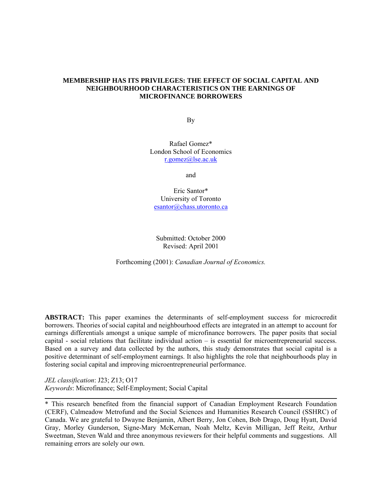#### **MEMBERSHIP HAS ITS PRIVILEGES: THE EFFECT OF SOCIAL CAPITAL AND NEIGHBOURHOOD CHARACTERISTICS ON THE EARNINGS OF MICROFINANCE BORROWERS**

By

Rafael Gomez\* London School of Economics [r.gomez@lse.ac.uk](mailto:r.gomez@lse.ac.uk)

and

Eric Santor\* University of Toronto [esantor@chass.utoronto.ca](mailto:esantor@chass.utoronto.ca)

Submitted: October 2000 Revised: April 2001

Forthcoming (2001): *Canadian Journal of Economics.*

**ABSTRACT:** This paper examines the determinants of self-employment success for microcredit borrowers. Theories of social capital and neighbourhood effects are integrated in an attempt to account for earnings differentials amongst a unique sample of microfinance borrowers. The paper posits that social capital - social relations that facilitate individual action – is essential for microentrepreneurial success. Based on a survey and data collected by the authors, this study demonstrates that social capital is a positive determinant of self-employment earnings. It also highlights the role that neighbourhoods play in fostering social capital and improving microentrepreneurial performance.

*JEL classification*: J23; Z13; O17 *Keywords*: Microfinance; Self-Employment; Social Capital

<sup>\*</sup> This research benefited from the financial support of Canadian Employment Research Foundation (CERF), Calmeadow Metrofund and the Social Sciences and Humanities Research Council (SSHRC) of Canada. We are grateful to Dwayne Benjamin, Albert Berry, Jon Cohen, Bob Drago, Doug Hyatt, David Gray, Morley Gunderson, Signe-Mary McKernan, Noah Meltz, Kevin Milligan, Jeff Reitz, Arthur Sweetman, Steven Wald and three anonymous reviewers for their helpful comments and suggestions. All remaining errors are solely our own.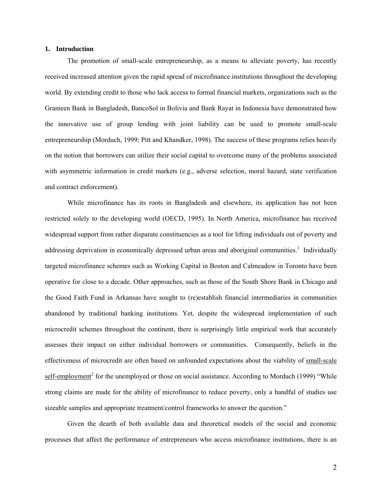#### **1. Introduction**

The promotion of small-scale entrepreneurship, as a means to alleviate poverty, has recently received increased attention given the rapid spread of microfinance institutions throughout the developing world. By extending credit to those who lack access to formal financial markets, organizations such as the Grameen Bank in Bangladesh, BancoSol in Bolivia and Bank Rayat in Indonesia have demonstrated how the innovative use of group lending with joint liability can be used to promote small-scale entrepreneurship (Morduch, 1999; Pitt and Khandker, 1998). The success of these programs relies heavily on the notion that borrowers can utilize their social capital to overcome many of the problems associated with asymmetric information in credit markets (e.g., adverse selection, moral hazard, state verification and contract enforcement).

While microfinance has its roots in Bangladesh and elsewhere, its application has not been restricted solely to the developing world (OECD, 1995). In North America, microfinance has received widespread support from rather disparate constituencies as a tool for lifting individuals out of poverty and addressing deprivation in economically depressed urban areas and aboriginal communities.<sup>[1](#page-30-0)</sup> Individually targeted microfinance schemes such as Working Capital in Boston and Calmeadow in Toronto have been operative for close to a decade. Other approaches, such as those of the South Shore Bank in Chicago and the Good Faith Fund in Arkansas have sought to (re)establish financial intermediaries in communities abandoned by traditional banking institutions. Yet, despite the widespread implementation of such microcredit schemes throughout the continent, there is surprisingly little empirical work that accurately assesses their impact on either individual borrowers or communities. Consequently, beliefs in the effectiveness of microcredit are often based on unfounded expectations about the viability of small-scale self-employment<sup>2</sup> for the unemployed or those on social assistance. According to Morduch (1999) "While strong claims are made for the ability of microfinance to reduce poverty, only a handful of studies use sizeable samples and appropriate treatment/control frameworks to answer the question."

Given the dearth of both available data and theoretical models of the social and economic processes that affect the performance of entrepreneurs who access microfinance institutions, there is an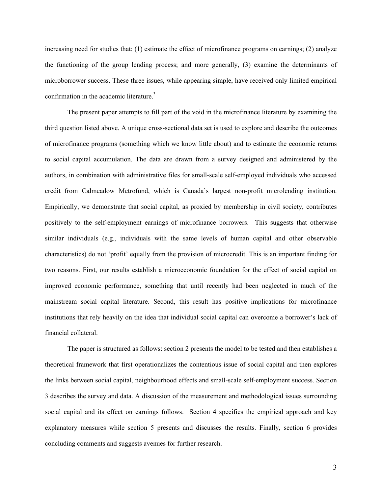increasing need for studies that: (1) estimate the effect of microfinance programs on earnings; (2) analyze the functioning of the group lending process; and more generally, (3) examine the determinants of microborrower success. These three issues, while appearing simple, have received only limited empirical confirmation in the academic literature.<sup>[3](#page-30-2)</sup>

The present paper attempts to fill part of the void in the microfinance literature by examining the third question listed above. A unique cross-sectional data set is used to explore and describe the outcomes of microfinance programs (something which we know little about) and to estimate the economic returns to social capital accumulation. The data are drawn from a survey designed and administered by the authors, in combination with administrative files for small-scale self-employed individuals who accessed credit from Calmeadow Metrofund, which is Canada's largest non-profit microlending institution. Empirically, we demonstrate that social capital, as proxied by membership in civil society, contributes positively to the self-employment earnings of microfinance borrowers. This suggests that otherwise similar individuals (e.g., individuals with the same levels of human capital and other observable characteristics) do not 'profit' equally from the provision of microcredit. This is an important finding for two reasons. First, our results establish a microeconomic foundation for the effect of social capital on improved economic performance, something that until recently had been neglected in much of the mainstream social capital literature. Second, this result has positive implications for microfinance institutions that rely heavily on the idea that individual social capital can overcome a borrower's lack of financial collateral.

The paper is structured as follows: section 2 presents the model to be tested and then establishes a theoretical framework that first operationalizes the contentious issue of social capital and then explores the links between social capital, neighbourhood effects and small-scale self-employment success. Section 3 describes the survey and data. A discussion of the measurement and methodological issues surrounding social capital and its effect on earnings follows. Section 4 specifies the empirical approach and key explanatory measures while section 5 presents and discusses the results. Finally, section 6 provides concluding comments and suggests avenues for further research.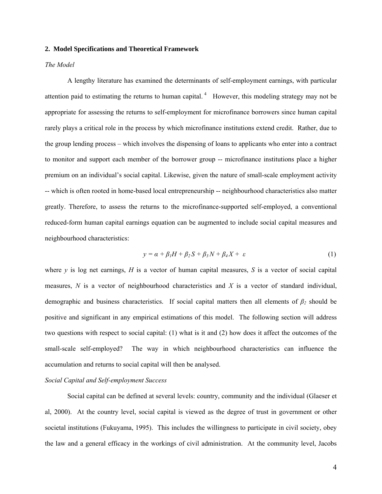#### **2. Model Specifications and Theoretical Framework**

#### *The Model*

A lengthy literature has examined the determinants of self-employment earnings, with particular attention paid to estimating the returns to human capital. [4](#page-30-3) However, this modeling strategy may not be appropriate for assessing the returns to self-employment for microfinance borrowers since human capital rarely plays a critical role in the process by which microfinance institutions extend credit. Rather, due to the group lending process – which involves the dispensing of loans to applicants who enter into a contract to monitor and support each member of the borrower group -- microfinance institutions place a higher premium on an individual's social capital. Likewise, given the nature of small-scale employment activity -- which is often rooted in home-based local entrepreneurship -- neighbourhood characteristics also matter greatly. Therefore, to assess the returns to the microfinance-supported self-employed, a conventional reduced-form human capital earnings equation can be augmented to include social capital measures and neighbourhood characteristics:

$$
y = \alpha + \beta_1 H + \beta_2 S + \beta_3 N + \beta_4 X + \varepsilon \tag{1}
$$

where  $\gamma$  is log net earnings,  $H$  is a vector of human capital measures,  $S$  is a vector of social capital measures, *N* is a vector of neighbourhood characteristics and *X* is a vector of standard individual, demographic and business characteristics. If social capital matters then all elements of *β2* should be positive and significant in any empirical estimations of this model. The following section will address two questions with respect to social capital: (1) what is it and (2) how does it affect the outcomes of the small-scale self-employed? The way in which neighbourhood characteristics can influence the accumulation and returns to social capital will then be analysed.

#### *Social Capital and Self-employment Success*

Social capital can be defined at several levels: country, community and the individual (Glaeser et al, 2000). At the country level, social capital is viewed as the degree of trust in government or other societal institutions (Fukuyama, 1995). This includes the willingness to participate in civil society, obey the law and a general efficacy in the workings of civil administration. At the community level, Jacobs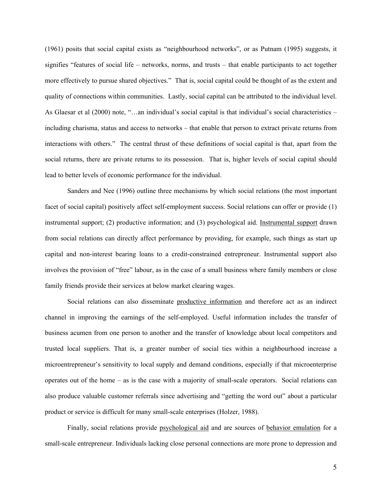(1961) posits that social capital exists as "neighbourhood networks", or as Putnam (1995) suggests, it signifies "features of social life – networks, norms, and trusts – that enable participants to act together more effectively to pursue shared objectives." That is, social capital could be thought of as the extent and quality of connections within communities. Lastly, social capital can be attributed to the individual level. As Glaesar et al (2000) note, "…an individual's social capital is that individual's social characteristics – including charisma, status and access to networks – that enable that person to extract private returns from interactions with others." The central thrust of these definitions of social capital is that, apart from the social returns, there are private returns to its possession. That is, higher levels of social capital should lead to better levels of economic performance for the individual.

Sanders and Nee (1996) outline three mechanisms by which social relations (the most important facet of social capital) positively affect self-employment success. Social relations can offer or provide (1) instrumental support; (2) productive information; and (3) psychological aid. Instrumental support drawn from social relations can directly affect performance by providing, for example, such things as start up capital and non-interest bearing loans to a credit-constrained entrepreneur. Instrumental support also involves the provision of "free" labour, as in the case of a small business where family members or close family friends provide their services at below market clearing wages.

Social relations can also disseminate productive information and therefore act as an indirect channel in improving the earnings of the self-employed. Useful information includes the transfer of business acumen from one person to another and the transfer of knowledge about local competitors and trusted local suppliers. That is, a greater number of social ties within a neighbourhood increase a microentrepreneur's sensitivity to local supply and demand conditions, especially if that microenterprise operates out of the home – as is the case with a majority of small-scale operators. Social relations can also produce valuable customer referrals since advertising and "getting the word out" about a particular product or service is difficult for many small-scale enterprises (Holzer, 1988).

Finally, social relations provide psychological aid and are sources of behavior emulation for a small-scale entrepreneur. Individuals lacking close personal connections are more prone to depression and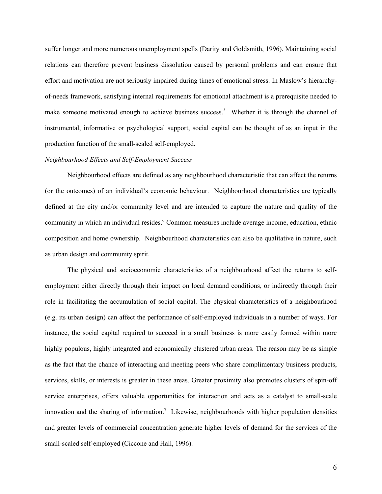suffer longer and more numerous unemployment spells (Darity and Goldsmith, 1996). Maintaining social relations can therefore prevent business dissolution caused by personal problems and can ensure that effort and motivation are not seriously impaired during times of emotional stress. In Maslow's hierarchyof-needs framework, satisfying internal requirements for emotional attachment is a prerequisite needed to makesomeone motivated enough to achieve business success.<sup>5</sup> Whether it is through the channel of instrumental, informative or psychological support, social capital can be thought of as an input in the production function of the small-scaled self-employed.

#### *Neighbourhood Effects and Self-Employment Success*

Neighbourhood effects are defined as any neighbourhood characteristic that can affect the returns (or the outcomes) of an individual's economic behaviour. Neighbourhood characteristics are typically defined at the city and/or community level and are intended to capture the nature and quality of the community in which an individual resides.<sup>[6](#page-30-5)</sup> Common measures include average income, education, ethnic composition and home ownership. Neighbourhood characteristics can also be qualitative in nature, such as urban design and community spirit.

The physical and socioeconomic characteristics of a neighbourhood affect the returns to selfemployment either directly through their impact on local demand conditions, or indirectly through their role in facilitating the accumulation of social capital. The physical characteristics of a neighbourhood (e.g. its urban design) can affect the performance of self-employed individuals in a number of ways. For instance, the social capital required to succeed in a small business is more easily formed within more highly populous, highly integrated and economically clustered urban areas. The reason may be as simple as the fact that the chance of interacting and meeting peers who share complimentary business products, services, skills, or interests is greater in these areas. Greater proximity also promotes clusters of spin-off service enterprises, offers valuable opportunities for interaction and acts as a catalyst to small-scale innovation and the sharing of information.<sup>7</sup> Likewise, neighbourhoods with higher population densities and greater levels of commercial concentration generate higher levels of demand for the services of the small-scaled self-employed (Ciccone and Hall, 1996).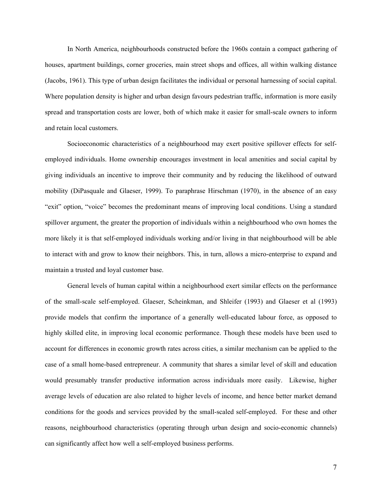In North America, neighbourhoods constructed before the 1960s contain a compact gathering of houses, apartment buildings, corner groceries, main street shops and offices, all within walking distance (Jacobs, 1961). This type of urban design facilitates the individual or personal harnessing of social capital. Where population density is higher and urban design favours pedestrian traffic, information is more easily spread and transportation costs are lower, both of which make it easier for small-scale owners to inform and retain local customers.

Socioeconomic characteristics of a neighbourhood may exert positive spillover effects for selfemployed individuals. Home ownership encourages investment in local amenities and social capital by giving individuals an incentive to improve their community and by reducing the likelihood of outward mobility (DiPasquale and Glaeser, 1999). To paraphrase Hirschman (1970), in the absence of an easy "exit" option, "voice" becomes the predominant means of improving local conditions. Using a standard spillover argument, the greater the proportion of individuals within a neighbourhood who own homes the more likely it is that self-employed individuals working and/or living in that neighbourhood will be able to interact with and grow to know their neighbors. This, in turn, allows a micro-enterprise to expand and maintain a trusted and loyal customer base.

General levels of human capital within a neighbourhood exert similar effects on the performance of the small-scale self-employed. Glaeser, Scheinkman, and Shleifer (1993) and Glaeser et al (1993) provide models that confirm the importance of a generally well-educated labour force, as opposed to highly skilled elite, in improving local economic performance. Though these models have been used to account for differences in economic growth rates across cities, a similar mechanism can be applied to the case of a small home-based entrepreneur. A community that shares a similar level of skill and education would presumably transfer productive information across individuals more easily. Likewise, higher average levels of education are also related to higher levels of income, and hence better market demand conditions for the goods and services provided by the small-scaled self-employed. For these and other reasons, neighbourhood characteristics (operating through urban design and socio-economic channels) can significantly affect how well a self-employed business performs.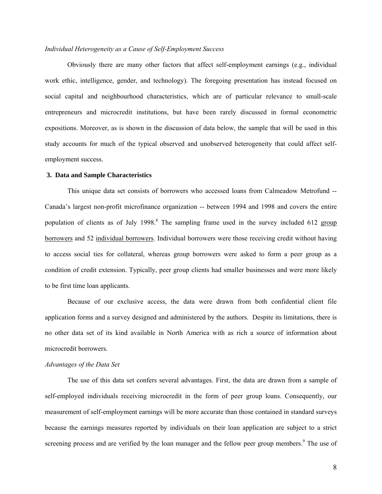#### *Individual Heterogeneity as a Cause of Self-Employment Success*

Obviously there are many other factors that affect self-employment earnings (e.g., individual work ethic, intelligence, gender, and technology). The foregoing presentation has instead focused on social capital and neighbourhood characteristics, which are of particular relevance to small-scale entrepreneurs and microcredit institutions, but have been rarely discussed in formal econometric expositions. Moreover, as is shown in the discussion of data below, the sample that will be used in this study accounts for much of the typical observed and unobserved heterogeneity that could affect selfemployment success.

#### **3. Data and Sample Characteristics**

This unique data set consists of borrowers who accessed loans from Calmeadow Metrofund -- Canada's largest non-profit microfinance organization -- between 1994 and 1998 and covers the entire population of clients as of July 199[8](#page-30-7).<sup>8</sup> The sampling frame used in the survey included 612 group borrowers and 52 individual borrowers. Individual borrowers were those receiving credit without having to access social ties for collateral, whereas group borrowers were asked to form a peer group as a condition of credit extension. Typically, peer group clients had smaller businesses and were more likely to be first time loan applicants.

Because of our exclusive access, the data were drawn from both confidential client file application forms and a survey designed and administered by the authors. Despite its limitations, there is no other data set of its kind available in North America with as rich a source of information about microcredit borrowers.

#### *Advantages of the Data Set*

The use of this data set confers several advantages. First, the data are drawn from a sample of self-employed individuals receiving microcredit in the form of peer group loans. Consequently, our measurement of self-employment earnings will be more accurate than those contained in standard surveys because the earnings measures reported by individuals on their loan application are subject to a strict screening process and are verified by the loan manager and the fellow peer group members.<sup>[9](#page-30-8)</sup> The use of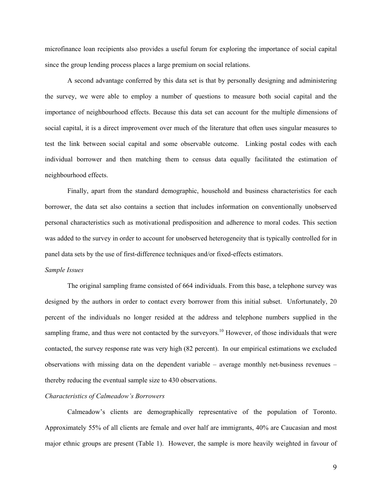microfinance loan recipients also provides a useful forum for exploring the importance of social capital since the group lending process places a large premium on social relations.

A second advantage conferred by this data set is that by personally designing and administering the survey, we were able to employ a number of questions to measure both social capital and the importance of neighbourhood effects. Because this data set can account for the multiple dimensions of social capital, it is a direct improvement over much of the literature that often uses singular measures to test the link between social capital and some observable outcome. Linking postal codes with each individual borrower and then matching them to census data equally facilitated the estimation of neighbourhood effects.

Finally, apart from the standard demographic, household and business characteristics for each borrower, the data set also contains a section that includes information on conventionally unobserved personal characteristics such as motivational predisposition and adherence to moral codes. This section was added to the survey in order to account for unobserved heterogeneity that is typically controlled for in panel data sets by the use of first-difference techniques and/or fixed-effects estimators.

#### *Sample Issues*

The original sampling frame consisted of 664 individuals. From this base, a telephone survey was designed by the authors in order to contact every borrower from this initial subset. Unfortunately, 20 percent of the individuals no longer resided at the address and telephone numbers supplied in the sampling frame, and thus were not contacted by the surveyors.<sup>10</sup> However, of those individuals that were contacted, the survey response rate was very high (82 percent). In our empirical estimations we excluded observations with missing data on the dependent variable – average monthly net-business revenues – thereby reducing the eventual sample size to 430 observations.

#### *Characteristics of Calmeadow's Borrowers*

Calmeadow's clients are demographically representative of the population of Toronto. Approximately 55% of all clients are female and over half are immigrants, 40% are Caucasian and most major ethnic groups are present (Table 1). However, the sample is more heavily weighted in favour of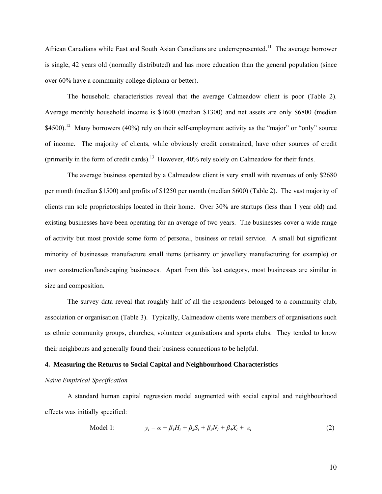African Canadians while East and South Asian Canadians are underrepresented.<sup>11</sup> The average borrower is single, 42 years old (normally distributed) and has more education than the general population (since over 60% have a community college diploma or better).

The household characteristics reveal that the average Calmeadow client is poor (Table 2). Average monthly household income is \$1600 (median \$1300) and net assets are only \$6800 (median  $$4500$ .<sup>12</sup> Many borrowers (40%) rely on their self-employment activity as the "major" or "only" source of income. The majority of clients, while obviously credit constrained, have other sources of credit (primarily in the form of credit cards).<sup>13</sup> However,  $40\%$  rely solely on Calmeadow for their funds.

The average business operated by a Calmeadow client is very small with revenues of only \$2680 per month (median \$1500) and profits of \$1250 per month (median \$600) (Table 2). The vast majority of clients run sole proprietorships located in their home. Over 30% are startups (less than 1 year old) and existing businesses have been operating for an average of two years. The businesses cover a wide range of activity but most provide some form of personal, business or retail service. A small but significant minority of businesses manufacture small items (artisanry or jewellery manufacturing for example) or own construction/landscaping businesses. Apart from this last category, most businesses are similar in size and composition.

The survey data reveal that roughly half of all the respondents belonged to a community club, association or organisation (Table 3). Typically, Calmeadow clients were members of organisations such as ethnic community groups, churches, volunteer organisations and sports clubs. They tended to know their neighbours and generally found their business connections to be helpful.

#### **4. Measuring the Returns to Social Capital and Neighbourhood Characteristics**

#### *Naïve Empirical Specification*

A standard human capital regression model augmented with social capital and neighbourhood effects was initially specified:

$$
\text{Model 1:} \qquad y_i = \alpha + \beta_l H_i + \beta_2 S_i + \beta_3 N_i + \beta_4 X_i + \varepsilon_i \tag{2}
$$

10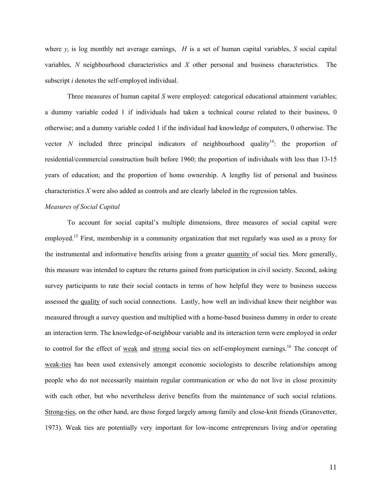where  $y_i$  is log monthly net average earnings, *H* is a set of human capital variables, *S* social capital variables, *N* neighbourhood characteristics and *X* other personal and business characteristics. The subscript *i* denotes the self-employed individual.

Three measures of human capital *S* were employed: categorical educational attainment variables; a dummy variable coded 1 if individuals had taken a technical course related to their business, 0 otherwise; and a dummy variable coded 1 if the individual had knowledge of computers, 0 otherwise. The vector *N* included three principal indicators of neighbourhood quality<sup>14</sup>: the proportion of residential/commercial construction built before 1960; the proportion of individuals with less than 13-15 years of education; and the proportion of home ownership. A lengthy list of personal and business characteristics *X* were also added as controls and are clearly labeled in the regression tables.

#### *Measures of Social Capital*

To account for social capital's multiple dimensions, three measures of social capital were employed.<sup>15</sup> First, membership in a community organization that met regularly was used as a proxy for the instrumental and informative benefits arising from a greater quantity of social ties. More generally, this measure was intended to capture the returns gained from participation in civil society. Second, asking survey participants to rate their social contacts in terms of how helpful they were to business success assessed the quality of such social connections. Lastly, how well an individual knew their neighbor was measured through a survey question and multiplied with a home-based business dummy in order to create an interaction term. The knowledge-of-neighbour variable and its interaction term were employed in order to control for the effect of weak and strong social ties on self-employment earnings.<sup>16</sup> The concept of weak-ties has been used extensively amongst economic sociologists to describe relationships among people who do not necessarily maintain regular communication or who do not live in close proximity with each other, but who nevertheless derive benefits from the maintenance of such social relations. Strong-ties, on the other hand, are those forged largely among family and close-knit friends (Granovetter, 1973). Weak ties are potentially very important for low-income entrepreneurs living and/or operating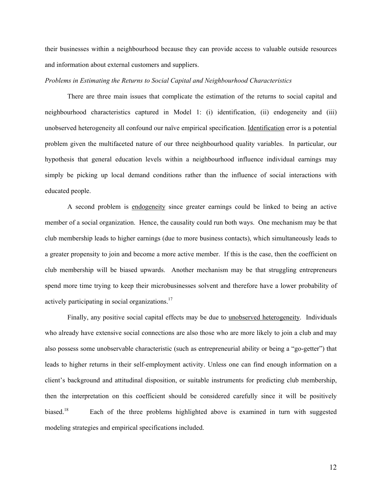their businesses within a neighbourhood because they can provide access to valuable outside resources and information about external customers and suppliers.

#### *Problems in Estimating the Returns to Social Capital and Neighbourhood Characteristics*

There are three main issues that complicate the estimation of the returns to social capital and neighbourhood characteristics captured in Model 1: (i) identification, (ii) endogeneity and (iii) unobserved heterogeneity all confound our naïve empirical specification. Identification error is a potential problem given the multifaceted nature of our three neighbourhood quality variables. In particular, our hypothesis that general education levels within a neighbourhood influence individual earnings may simply be picking up local demand conditions rather than the influence of social interactions with educated people.

A second problem is endogeneity since greater earnings could be linked to being an active member of a social organization. Hence, the causality could run both ways. One mechanism may be that club membership leads to higher earnings (due to more business contacts), which simultaneously leads to a greater propensity to join and become a more active member. If this is the case, then the coefficient on club membership will be biased upwards. Another mechanism may be that struggling entrepreneurs spend more time trying to keep their microbusinesses solvent and therefore have a lower probability of actively participating in social organizations.<sup>17</sup>

Finally, any positive social capital effects may be due to unobserved heterogeneity. Individuals who already have extensive social connections are also those who are more likely to join a club and may also possess some unobservable characteristic (such as entrepreneurial ability or being a "go-getter") that leads to higher returns in their self-employment activity. Unless one can find enough information on a client's background and attitudinal disposition, or suitable instruments for predicting club membership, then the interpretation on this coefficient should be considered carefully since it will be positively biased.<sup>[18](#page-30-17)</sup> Each of the three problems highlighted above is examined in turn with suggested modeling strategies and empirical specifications included.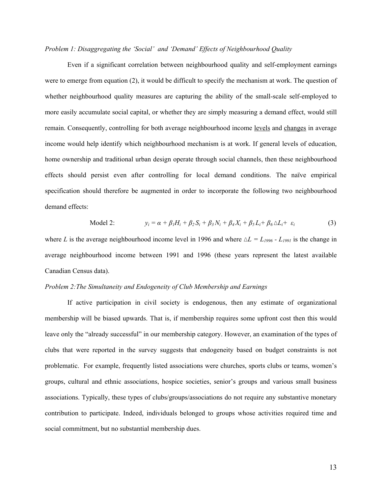#### *Problem 1: Disaggregating the 'Social' and 'Demand' Effects of Neighbourhood Quality*

Even if a significant correlation between neighbourhood quality and self-employment earnings were to emerge from equation (2), it would be difficult to specify the mechanism at work. The question of whether neighbourhood quality measures are capturing the ability of the small-scale self-employed to more easily accumulate social capital, or whether they are simply measuring a demand effect, would still remain. Consequently, controlling for both average neighbourhood income levels and changes in average income would help identify which neighbourhood mechanism is at work. If general levels of education, home ownership and traditional urban design operate through social channels, then these neighbourhood effects should persist even after controlling for local demand conditions. The naïve empirical specification should therefore be augmented in order to incorporate the following two neighbourhood demand effects:

$$
\text{Model 2:} \qquad y_i = \alpha + \beta_l H_i + \beta_2 S_i + \beta_3 N_i + \beta_4 X_i + \beta_5 L_i + \beta_6 \Delta L_i + \varepsilon_i \tag{3}
$$

where *L* is the average neighbourhood income level in 1996 and where ∆*L = L1996 - L1991* is the change in average neighbourhood income between 1991 and 1996 (these years represent the latest available Canadian Census data).

#### *Problem 2:The Simultaneity and Endogeneity of Club Membership and Earnings*

If active participation in civil society is endogenous, then any estimate of organizational membership will be biased upwards. That is, if membership requires some upfront cost then this would leave only the "already successful" in our membership category. However, an examination of the types of clubs that were reported in the survey suggests that endogeneity based on budget constraints is not problematic. For example, frequently listed associations were churches, sports clubs or teams, women's groups, cultural and ethnic associations, hospice societies, senior's groups and various small business associations. Typically, these types of clubs/groups/associations do not require any substantive monetary contribution to participate. Indeed, individuals belonged to groups whose activities required time and social commitment, but no substantial membership dues.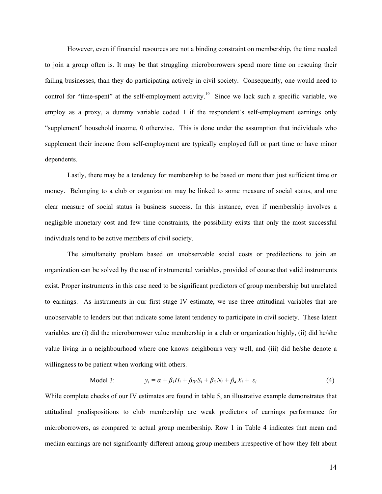However, even if financial resources are not a binding constraint on membership, the time needed to join a group often is. It may be that struggling microborrowers spend more time on rescuing their failing businesses, than they do participating actively in civil society. Consequently, one would need to control for "time-spent" at the self-employment activity.<sup>19</sup> Since we lack such a specific variable, we employ as a proxy, a dummy variable coded 1 if the respondent's self-employment earnings only "supplement" household income, 0 otherwise. This is done under the assumption that individuals who supplement their income from self-employment are typically employed full or part time or have minor dependents.

Lastly, there may be a tendency for membership to be based on more than just sufficient time or money. Belonging to a club or organization may be linked to some measure of social status, and one clear measure of social status is business success. In this instance, even if membership involves a negligible monetary cost and few time constraints, the possibility exists that only the most successful individuals tend to be active members of civil society.

The simultaneity problem based on unobservable social costs or predilections to join an organization can be solved by the use of instrumental variables, provided of course that valid instruments exist. Proper instruments in this case need to be significant predictors of group membership but unrelated to earnings. As instruments in our first stage IV estimate, we use three attitudinal variables that are unobservable to lenders but that indicate some latent tendency to participate in civil society. These latent variables are (i) did the microborrower value membership in a club or organization highly, (ii) did he/she value living in a neighbourhood where one knows neighbours very well, and (iii) did he/she denote a willingness to be patient when working with others.

$$
\text{Model 3:} \qquad y_i = \alpha + \beta_I H_i + \beta_{IV} S_i + \beta_3 N_i + \beta_4 X_i + \varepsilon_i \tag{4}
$$

While complete checks of our IV estimates are found in table 5, an illustrative example demonstrates that attitudinal predispositions to club membership are weak predictors of earnings performance for microborrowers, as compared to actual group membership. Row 1 in Table 4 indicates that mean and median earnings are not significantly different among group members irrespective of how they felt about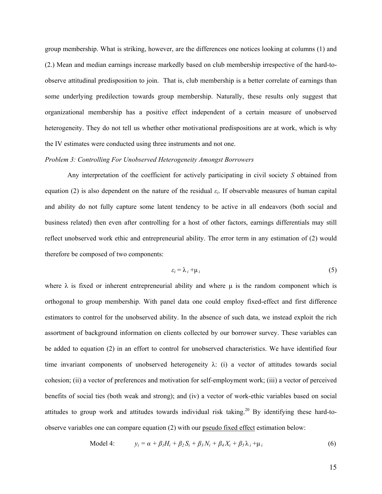group membership. What is striking, however, are the differences one notices looking at columns (1) and (2.) Mean and median earnings increase markedly based on club membership irrespective of the hard-toobserve attitudinal predisposition to join. That is, club membership is a better correlate of earnings than some underlying predilection towards group membership. Naturally, these results only suggest that organizational membership has a positive effect independent of a certain measure of unobserved heterogeneity. They do not tell us whether other motivational predispositions are at work, which is why the IV estimates were conducted using three instruments and not one.

#### *Problem 3: Controlling For Unobserved Heterogeneity Amongst Borrowers*

Any interpretation of the coefficient for actively participating in civil society *S* obtained from equation (2) is also dependent on the nature of the residual *εi*. If observable measures of human capital and ability do not fully capture some latent tendency to be active in all endeavors (both social and business related) then even after controlling for a host of other factors, earnings differentials may still reflect unobserved work ethic and entrepreneurial ability. The error term in any estimation of (2) would therefore be composed of two components:

$$
\varepsilon_i = \lambda_i + \mu_i \tag{5}
$$

where  $\lambda$  is fixed or inherent entrepreneurial ability and where  $\mu$  is the random component which is orthogonal to group membership. With panel data one could employ fixed-effect and first difference estimators to control for the unobserved ability. In the absence of such data, we instead exploit the rich assortment of background information on clients collected by our borrower survey. These variables can be added to equation (2) in an effort to control for unobserved characteristics. We have identified four time invariant components of unobserved heterogeneity  $\lambda$ : (i) a vector of attitudes towards social cohesion; (ii) a vector of preferences and motivation for self-employment work; (iii) a vector of perceived benefits of social ties (both weak and strong); and (iv) a vector of work-ethic variables based on social attitudes to group work and attitudes towards individual risk taking.<sup>20</sup> By identifying these hard-toobserve variables one can compare equation (2) with our pseudo fixed effect estimation below:

$$
\text{Model 4:} \qquad y_i = \alpha + \beta_l H_i + \beta_2 S_i + \beta_3 N_i + \beta_4 X_i + \beta_5 \lambda_i + \mu_i \tag{6}
$$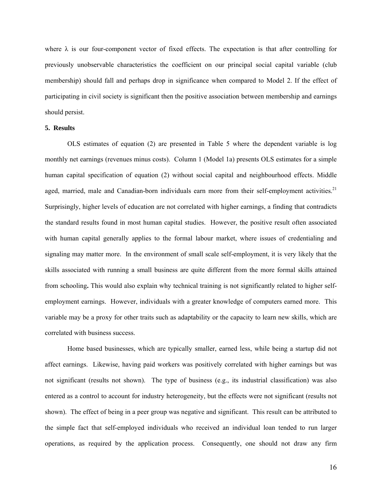where  $\lambda$  is our four-component vector of fixed effects. The expectation is that after controlling for previously unobservable characteristics the coefficient on our principal social capital variable (club membership) should fall and perhaps drop in significance when compared to Model 2. If the effect of participating in civil society is significant then the positive association between membership and earnings should persist.

#### **5. Results**

OLS estimates of equation (2) are presented in Table 5 where the dependent variable is log monthly net earnings (revenues minus costs). Column 1 (Model 1a) presents OLS estimates for a simple human capital specification of equation (2) without social capital and neighbourhood effects. Middle aged, married, male and Canadian-born individuals earn more from their self-employment activities.<sup>[21](#page-30-20)</sup> Surprisingly, higher levels of education are not correlated with higher earnings, a finding that contradicts the standard results found in most human capital studies. However, the positive result often associated with human capital generally applies to the formal labour market, where issues of credentialing and signaling may matter more. In the environment of small scale self-employment, it is very likely that the skills associated with running a small business are quite different from the more formal skills attained from schooling**.** This would also explain why technical training is not significantly related to higher selfemployment earnings. However, individuals with a greater knowledge of computers earned more. This variable may be a proxy for other traits such as adaptability or the capacity to learn new skills, which are correlated with business success.

Home based businesses, which are typically smaller, earned less, while being a startup did not affect earnings. Likewise, having paid workers was positively correlated with higher earnings but was not significant (results not shown). The type of business (e.g., its industrial classification) was also entered as a control to account for industry heterogeneity, but the effects were not significant (results not shown). The effect of being in a peer group was negative and significant. This result can be attributed to the simple fact that self-employed individuals who received an individual loan tended to run larger operations, as required by the application process. Consequently, one should not draw any firm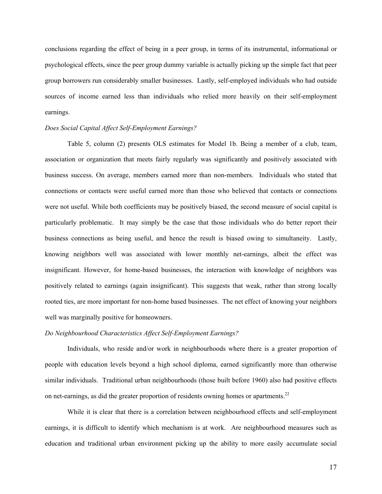conclusions regarding the effect of being in a peer group, in terms of its instrumental, informational or psychological effects, since the peer group dummy variable is actually picking up the simple fact that peer group borrowers run considerably smaller businesses. Lastly, self-employed individuals who had outside sources of income earned less than individuals who relied more heavily on their self-employment earnings.

#### *Does Social Capital Affect Self-Employment Earnings?*

Table 5, column (2) presents OLS estimates for Model 1b. Being a member of a club, team, association or organization that meets fairly regularly was significantly and positively associated with business success. On average, members earned more than non-members. Individuals who stated that connections or contacts were useful earned more than those who believed that contacts or connections were not useful. While both coefficients may be positively biased, the second measure of social capital is particularly problematic. It may simply be the case that those individuals who do better report their business connections as being useful, and hence the result is biased owing to simultaneity. Lastly, knowing neighbors well was associated with lower monthly net-earnings, albeit the effect was insignificant. However, for home-based businesses, the interaction with knowledge of neighbors was positively related to earnings (again insignificant). This suggests that weak, rather than strong locally rooted ties, are more important for non-home based businesses. The net effect of knowing your neighbors well was marginally positive for homeowners.

#### *Do Neighbourhood Characteristics Affect Self-Employment Earnings?*

Individuals, who reside and/or work in neighbourhoods where there is a greater proportion of people with education levels beyond a high school diploma, earned significantly more than otherwise similar individuals. Traditional urban neighbourhoods (those built before 1960) also had positive effects on net-earnings, as did the greater proportion of residents owning homes or apartments.<sup>22</sup>

While it is clear that there is a correlation between neighbourhood effects and self-employment earnings, it is difficult to identify which mechanism is at work. Are neighbourhood measures such as education and traditional urban environment picking up the ability to more easily accumulate social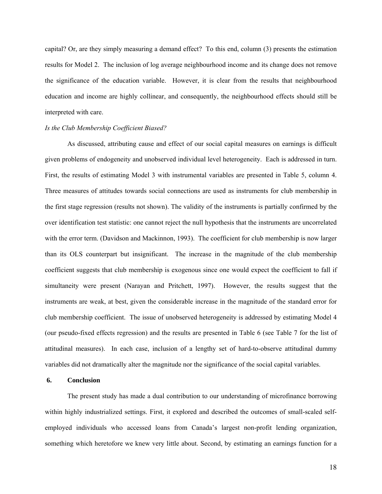capital? Or, are they simply measuring a demand effect? To this end, column (3) presents the estimation results for Model 2. The inclusion of log average neighbourhood income and its change does not remove the significance of the education variable. However, it is clear from the results that neighbourhood education and income are highly collinear, and consequently, the neighbourhood effects should still be interpreted with care.

#### *Is the Club Membership Coefficient Biased?*

As discussed, attributing cause and effect of our social capital measures on earnings is difficult given problems of endogeneity and unobserved individual level heterogeneity. Each is addressed in turn. First, the results of estimating Model 3 with instrumental variables are presented in Table 5, column 4. Three measures of attitudes towards social connections are used as instruments for club membership in the first stage regression (results not shown). The validity of the instruments is partially confirmed by the over identification test statistic: one cannot reject the null hypothesis that the instruments are uncorrelated with the error term. (Davidson and Mackinnon, 1993). The coefficient for club membership is now larger than its OLS counterpart but insignificant. The increase in the magnitude of the club membership coefficient suggests that club membership is exogenous since one would expect the coefficient to fall if simultaneity were present (Narayan and Pritchett, 1997). However, the results suggest that the instruments are weak, at best, given the considerable increase in the magnitude of the standard error for club membership coefficient. The issue of unobserved heterogeneity is addressed by estimating Model 4 (our pseudo-fixed effects regression) and the results are presented in Table 6 (see Table 7 for the list of attitudinal measures). In each case, inclusion of a lengthy set of hard-to-observe attitudinal dummy variables did not dramatically alter the magnitude nor the significance of the social capital variables.

#### **6. Conclusion**

The present study has made a dual contribution to our understanding of microfinance borrowing within highly industrialized settings. First, it explored and described the outcomes of small-scaled selfemployed individuals who accessed loans from Canada's largest non-profit lending organization, something which heretofore we knew very little about. Second, by estimating an earnings function for a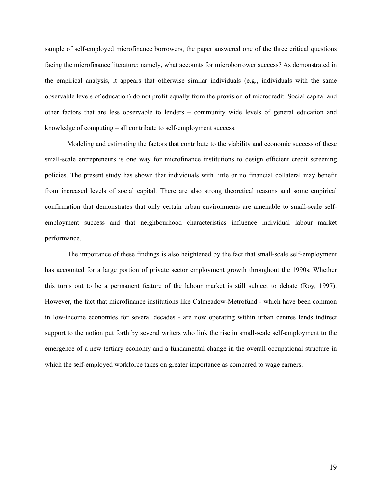sample of self-employed microfinance borrowers, the paper answered one of the three critical questions facing the microfinance literature: namely, what accounts for microborrower success? As demonstrated in the empirical analysis, it appears that otherwise similar individuals (e.g., individuals with the same observable levels of education) do not profit equally from the provision of microcredit. Social capital and other factors that are less observable to lenders – community wide levels of general education and knowledge of computing – all contribute to self-employment success.

Modeling and estimating the factors that contribute to the viability and economic success of these small-scale entrepreneurs is one way for microfinance institutions to design efficient credit screening policies. The present study has shown that individuals with little or no financial collateral may benefit from increased levels of social capital. There are also strong theoretical reasons and some empirical confirmation that demonstrates that only certain urban environments are amenable to small-scale selfemployment success and that neighbourhood characteristics influence individual labour market performance.

The importance of these findings is also heightened by the fact that small-scale self-employment has accounted for a large portion of private sector employment growth throughout the 1990s. Whether this turns out to be a permanent feature of the labour market is still subject to debate (Roy, 1997). However, the fact that microfinance institutions like Calmeadow-Metrofund - which have been common in low-income economies for several decades - are now operating within urban centres lends indirect support to the notion put forth by several writers who link the rise in small-scale self-employment to the emergence of a new tertiary economy and a fundamental change in the overall occupational structure in which the self-employed workforce takes on greater importance as compared to wage earners.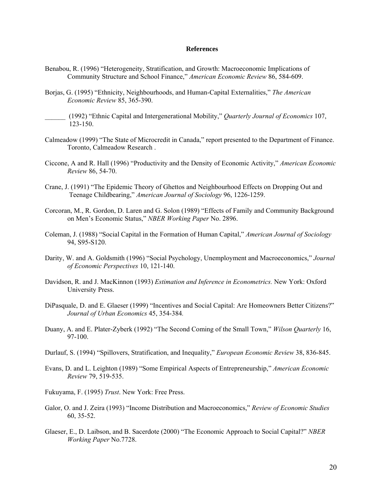#### **References**

- Benabou, R. (1996) "Heterogeneity, Stratification, and Growth: Macroeconomic Implications of Community Structure and School Finance," *American Economic Review* 86, 584-609.
- Borjas, G. (1995) "Ethnicity, Neighbourhoods, and Human-Capital Externalities," *The American Economic Review* 85, 365-390.
- \_\_\_\_\_\_ (1992) "Ethnic Capital and Intergenerational Mobility," *Quarterly Journal of Economics* 107, 123-150.
- Calmeadow (1999) "The State of Microcredit in Canada," report presented to the Department of Finance. Toronto, Calmeadow Research .
- Ciccone, A and R. Hall (1996) "Productivity and the Density of Economic Activity," *American Economic Review* 86, 54-70.
- Crane, J. (1991) "The Epidemic Theory of Ghettos and Neighbourhood Effects on Dropping Out and Teenage Childbearing," *American Journal of Sociology* 96, 1226-1259.
- Corcoran, M., R. Gordon, D. Laren and G. Solon (1989) "Effects of Family and Community Background on Men's Economic Status," *NBER Working Paper* No. 2896.
- Coleman, J. (1988) "Social Capital in the Formation of Human Capital," *American Journal of Sociology* 94, S95-S120.
- Darity, W. and A. Goldsmith (1996) "Social Psychology, Unemployment and Macroeconomics," *Journal of Economic Perspectives* 10, 121-140.
- Davidson, R. and J. MacKinnon (1993) *Estimation and Inference in Econometrics.* New York: Oxford University Press.
- DiPasquale, D. and E. Glaeser (1999) "Incentives and Social Capital: Are Homeowners Better Citizens?" *Journal of Urban Economics* 45, 354-384*.*
- Duany, A. and E. Plater-Zyberk (1992) "The Second Coming of the Small Town," *Wilson Quarterly* 16, 97-100.
- Durlauf, S. (1994) "Spillovers, Stratification, and Inequality," *European Economic Review* 38, 836-845.
- Evans, D. and L. Leighton (1989) "Some Empirical Aspects of Entrepreneurship," *American Economic Review* 79, 519-535.
- Fukuyama, F. (1995) *Trust*. New York: Free Press.
- Galor, O. and J. Zeira (1993) "Income Distribution and Macroeconomics," *Review of Economic Studies* 60, 35-52.
- Glaeser, E., D. Laibson, and B. Sacerdote (2000) "The Economic Approach to Social Capital?" *NBER Working Paper* No.7728.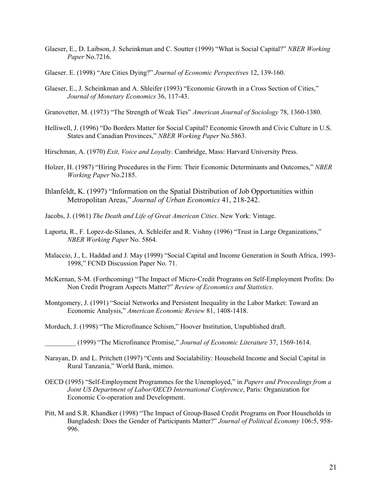- Glaeser, E., D. Laibson, J. Scheinkman and C. Soutter (1999) "What is Social Capital?" *NBER Working Paper* No.7216.
- Glaeser. E. (1998) "Are Cities Dying?" *Journal of Economic Perspectives* 12, 139-160.
- Glaeser, E., J. Scheinkman and A. Shleifer (1993) "Economic Growth in a Cross Section of Cities," *Journal of Monetary Economics* 36, 117-43.
- Granovetter, M. (1973) "The Strength of Weak Ties" *American Journal of Sociology* 78, 1360-1380.
- Helliwell, J. (1996) "Do Borders Matter for Social Capital? Economic Growth and Civic Culture in U.S. States and Canadian Provinces," *NBER Working Paper* No.5863.
- Hirschman, A. (1970) *Exit, Voice and Loyalty*. Cambridge, Mass: Harvard University Press.
- Holzer, H. (1987) "Hiring Procedures in the Firm: Their Economic Determinants and Outcomes," *NBER Working Paper* No.2185.
- Ihlanfeldt, K. (1997) "Information on the Spatial Distribution of Job Opportunities within Metropolitan Areas," *Journal of Urban Economics* 41, 218-242.
- Jacobs, J. (1961) *The Death and Life of Great American Cities*. New York: Vintage.
- Laporta, R., F. Lopez-de-Silanes, A. Schleifer and R. Vishny (1996) "Trust in Large Organizations," *NBER Working Paper* No. 5864.
- Malaccio, J., L. Haddad and J. May (1999) "Social Capital and Income Generation in South Africa, 1993- 1998," FCND Discussion Paper No. 71.
- McKernan, S-M. (Forthcoming) "The Impact of Micro-Credit Programs on Self-Employment Profits: Do Non Credit Program Aspects Matter?" *Review of Economics and Statistics*.
- Montgomery, J. (1991) "Social Networks and Persistent Inequality in the Labor Market: Toward an Economic Analysis," *American Economic Review* 81, 1408-1418.
- Morduch, J. (1998) "The Microfinance Schism," Hoover Institution, Unpublished draft.
	- \_\_\_\_\_\_\_\_\_ (1999) "The Microfinance Promise," *Journal of Economic Literature* 37, 1569-1614.
- Narayan, D. and L. Pritchett (1997) "Cents and Socialability: Household Income and Social Capital in Rural Tanzania," World Bank, mimeo.
- OECD (1995) "Self-Employment Programmes for the Unemployed," in *Papers and Proceedings from a Joint US Department of Labor/OECD International Conference*, Paris: Organization for Economic Co-operation and Development.
- Pitt, M and S.R. Khandker (1998) "The Impact of Group-Based Credit Programs on Poor Households in Bangladesh: Does the Gender of Participants Matter?" *Journal of Political Economy* 106:5, 958- 996.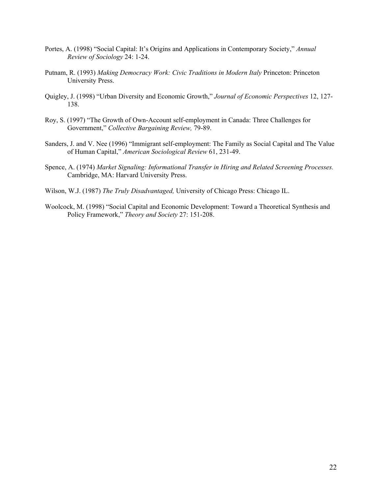- Portes, A. (1998) "Social Capital: It's Origins and Applications in Contemporary Society," *Annual Review of Sociology* 24: 1-24.
- Putnam, R. (1993) *Making Democracy Work: Civic Traditions in Modern Italy* Princeton: Princeton University Press.
- Quigley, J. (1998) "Urban Diversity and Economic Growth," *Journal of Economic Perspectives* 12, 127- 138.
- Roy, S. (1997) "The Growth of Own-Account self-employment in Canada: Three Challenges for Government," *Collective Bargaining Review,* 79-89.
- Sanders, J. and V. Nee (1996) "Immigrant self-employment: The Family as Social Capital and The Value of Human Capital," *American Sociological Review* 61, 231-49.
- Spence, A. (1974) *Market Signaling: Informational Transfer in Hiring and Related Screening Processes.* Cambridge, MA: Harvard University Press.
- Wilson, W.J. (1987) *The Truly Disadvantaged,* University of Chicago Press: Chicago IL.
- Woolcock, M. (1998) "Social Capital and Economic Development: Toward a Theoretical Synthesis and Policy Framework," *Theory and Society* 27: 151-208.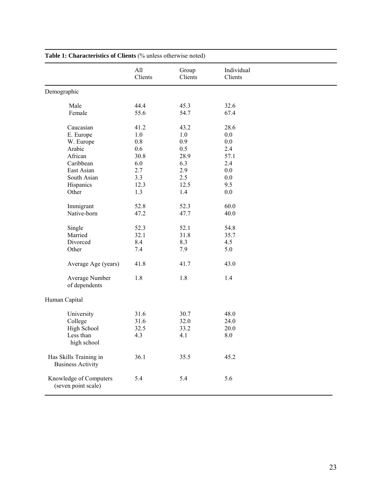|                                                                                                                                       | All<br>Clients                                                                    | Group<br>Clients                                                              | Individual<br>Clients                                                            |  |
|---------------------------------------------------------------------------------------------------------------------------------------|-----------------------------------------------------------------------------------|-------------------------------------------------------------------------------|----------------------------------------------------------------------------------|--|
| Demographic                                                                                                                           |                                                                                   |                                                                               |                                                                                  |  |
| Male<br>Female                                                                                                                        | 44.4<br>55.6                                                                      | 45.3<br>54.7                                                                  | 32.6<br>67.4                                                                     |  |
| Caucasian<br>E. Europe<br>W. Europe<br>Arabic<br>African<br>Caribbean<br>East Asian<br>South Asian<br>Hispanics<br>Other<br>Immigrant | 41.2<br>1.0<br>$0.8\,$<br>0.6<br>30.8<br>6.0<br>2.7<br>3.3<br>12.3<br>1.3<br>52.8 | 43.2<br>1.0<br>0.9<br>0.5<br>28.9<br>6.3<br>2.9<br>2.5<br>12.5<br>1.4<br>52.3 | 28.6<br>0.0<br>0.0<br>2.4<br>57.1<br>2.4<br>0.0<br>0.0<br>9.5<br>$0.0\,$<br>60.0 |  |
| Native-born<br>Single<br>Married<br>Divorced                                                                                          | 47.2<br>52.3<br>32.1<br>8.4                                                       | 47.7<br>52.1<br>31.8<br>8.3                                                   | 40.0<br>54.8<br>35.7<br>4.5                                                      |  |
| Other<br>Average Age (years)<br>Average Number<br>of dependents                                                                       | 7.4<br>41.8<br>1.8                                                                | 7.9<br>41.7<br>1.8                                                            | 5.0<br>43.0<br>1.4                                                               |  |
| Human Capital                                                                                                                         |                                                                                   |                                                                               |                                                                                  |  |
| University<br>College<br>High School<br>Less than<br>high school                                                                      | 31.6<br>31.6<br>32.5<br>4.3                                                       | 30.7<br>32.0<br>33.2<br>4.1                                                   | 48.0<br>24.0<br>20.0<br>$8.0\,$                                                  |  |
| Has Skills Training in<br><b>Business Activity</b>                                                                                    | 36.1                                                                              | 35.5                                                                          | 45.2                                                                             |  |
| Knowledge of Computers<br>(seven point scale)                                                                                         | 5.4                                                                               | 5.4                                                                           | 5.6                                                                              |  |

### **Table 1: Characteristics of Clients** (% unless otherwise noted)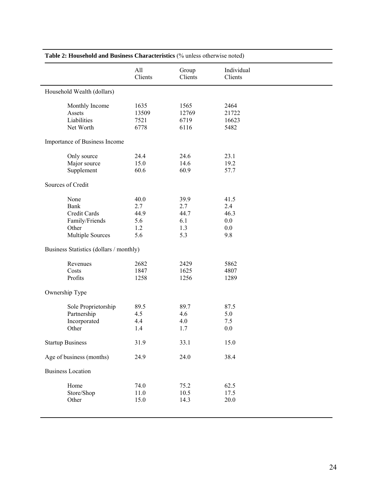|                                         | All<br>Clients | Group<br>Clients | Individual<br>Clients |  |
|-----------------------------------------|----------------|------------------|-----------------------|--|
| Household Wealth (dollars)              |                |                  |                       |  |
| Monthly Income<br>Assets                | 1635<br>13509  | 1565<br>12769    | 2464<br>21722         |  |
| Liabilities<br>Net Worth                | 7521<br>6778   | 6719<br>6116     | 16623<br>5482         |  |
| Importance of Business Income           |                |                  |                       |  |
| Only source                             | 24.4           | 24.6             | 23.1                  |  |
| Major source                            | 15.0           | 14.6             | 19.2                  |  |
| Supplement                              | 60.6           | 60.9             | 57.7                  |  |
| Sources of Credit                       |                |                  |                       |  |
| None                                    | 40.0           | 39.9             | 41.5                  |  |
| <b>Bank</b>                             | 2.7            | 2.7              | 2.4                   |  |
| Credit Cards                            | 44.9           | 44.7             | 46.3                  |  |
| Family/Friends                          | 5.6            | 6.1              | 0.0                   |  |
| Other                                   | 1.2            | 1.3              | 0.0                   |  |
| <b>Multiple Sources</b>                 | 5.6            | 5.3              | 9.8                   |  |
| Business Statistics (dollars / monthly) |                |                  |                       |  |
| Revenues                                | 2682           | 2429             | 5862                  |  |
| Costs                                   | 1847           | 1625             | 4807                  |  |
| Profits                                 | 1258           | 1256             | 1289                  |  |
| Ownership Type                          |                |                  |                       |  |
| Sole Proprietorship                     | 89.5           | 89.7             | 87.5                  |  |
| Partnership                             | 4.5            | 4.6              | 5.0                   |  |
| Incorporated                            | 4.4            | 4.0              | 7.5                   |  |
| Other                                   | 1.4            | 1.7              | 0.0                   |  |
| <b>Startup Business</b>                 | 31.9           | 33.1             | 15.0                  |  |
| Age of business (months)                | 24.9           | 24.0             | 38.4                  |  |
| <b>Business Location</b>                |                |                  |                       |  |
| Home                                    | 74.0           | 75.2             | 62.5                  |  |
| Store/Shop                              | 11.0           | 10.5             | 17.5                  |  |
| Other                                   | 15.0           | 14.3             | 20.0                  |  |

#### **Table 2: Household and Business Characteristics** (% unless otherwise noted)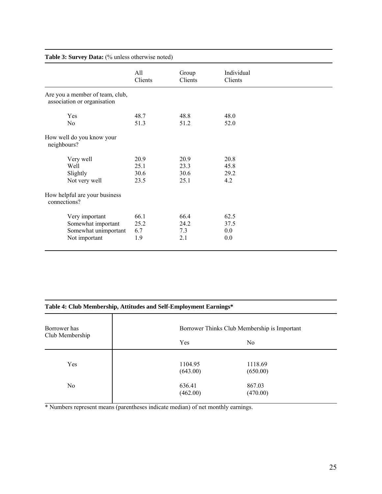| Table 3: Survey Data: (% unless otherwise noted)                              |                              |                              |                                |  |
|-------------------------------------------------------------------------------|------------------------------|------------------------------|--------------------------------|--|
|                                                                               | All<br>Clients               | Group<br>Clients             | Individual<br>Clients          |  |
| Are you a member of team, club,<br>association or organisation                |                              |                              |                                |  |
| Yes<br>No                                                                     | 48.7<br>51.3                 | 48.8<br>51.2                 | 48.0<br>52.0                   |  |
| How well do you know your<br>neighbours?                                      |                              |                              |                                |  |
| Very well<br>Well<br>Slightly<br>Not very well                                | 20.9<br>25.1<br>30.6<br>23.5 | 20.9<br>23.3<br>30.6<br>25.1 | 20.8<br>45.8<br>29.2<br>4.2    |  |
| How helpful are your business<br>connections?                                 |                              |                              |                                |  |
| Very important<br>Somewhat important<br>Somewhat unimportant<br>Not important | 66.1<br>25.2<br>6.7<br>1.9   | 66.4<br>24.2<br>7.3<br>2.1   | 62.5<br>37.5<br>$0.0\,$<br>0.0 |  |

#### **Table 4: Club Membership, Attitudes and Self-Employment Earnings\***

| Borrower has<br>Club Membership |                     | Borrower Thinks Club Membership is Important |
|---------------------------------|---------------------|----------------------------------------------|
|                                 | Yes                 | N <sub>0</sub>                               |
| Yes                             | 1104.95<br>(643.00) | 1118.69<br>(650.00)                          |
| No                              | 636.41<br>(462.00)  | 867.03<br>(470.00)                           |

\* Numbers represent means (parentheses indicate median) of net monthly earnings.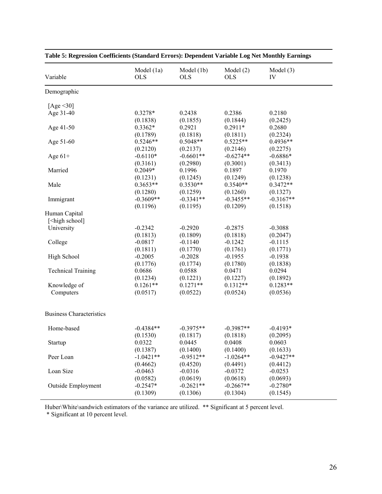| Variable                                                              | Model $(1a)$<br><b>OLS</b> | Model $(1b)$<br><b>OLS</b> | Model $(2)$<br><b>OLS</b> | Model $(3)$<br>IV |
|-----------------------------------------------------------------------|----------------------------|----------------------------|---------------------------|-------------------|
| Demographic                                                           |                            |                            |                           |                   |
| [Age $\leq$ 30]                                                       |                            |                            |                           |                   |
| Age 31-40                                                             | $0.3278*$                  | 0.2438                     | 0.2386                    | 0.2180            |
|                                                                       | (0.1838)                   | (0.1855)                   | (0.1844)                  | (0.2425)          |
| Age 41-50                                                             | $0.3362*$                  | 0.2921                     | $0.2911*$                 | 0.2680            |
|                                                                       | (0.1789)                   | (0.1818)                   | (0.1811)                  | (0.2324)          |
| Age 51-60                                                             | $0.5246**$                 | $0.5048**$                 | $0.5225**$                | $0.4936**$        |
|                                                                       | (0.2120)                   | (0.2137)                   | (0.2146)                  | (0.2275)          |
| Age $61+$                                                             | $-0.6110*$                 | $-0.6601**$                | $-0.6274**$               | $-0.6886*$        |
|                                                                       | (0.3161)                   | (0.2980)                   | (0.3001)                  | (0.3413)          |
| Married                                                               | $0.2049*$                  | 0.1996                     | 0.1897                    | 0.1970            |
|                                                                       | (0.1231)                   | (0.1245)                   | (0.1249)                  | (0.1238)          |
| Male                                                                  | $0.3653**$                 | $0.3530**$                 | $0.3540**$                | $0.3472**$        |
|                                                                       | (0.1280)                   | (0.1259)                   | (0.1260)                  | (0.1327)          |
| Immigrant                                                             | $-0.3609**$                | $-0.3341**$                | $-0.3455**$               | $-0.3167**$       |
|                                                                       | (0.1196)                   | (0.1195)                   | (0.1209)                  | (0.1518)          |
| Human Capital                                                         |                            |                            |                           |                   |
| [ <high school]<="" td=""><td></td><td></td><td></td><td></td></high> |                            |                            |                           |                   |
| University                                                            | $-0.2342$                  | $-0.2920$                  | $-0.2875$                 | $-0.3088$         |
|                                                                       | (0.1813)                   | (0.1809)                   | (0.1818)                  | (0.2047)          |
| College                                                               | $-0.0817$                  | $-0.1140$                  | $-0.1242$                 | $-0.1115$         |
|                                                                       | (0.1811)                   | (0.1770)                   | (0.1761)                  | (0.1771)          |
| High School                                                           | $-0.2005$                  | $-0.2028$                  | $-0.1955$                 | $-0.1938$         |
|                                                                       | (0.1776)                   | (0.1774)                   | (0.1780)                  | (0.1838)          |
| <b>Technical Training</b>                                             | 0.0686                     | 0.0588                     | 0.0471                    | 0.0294            |
|                                                                       | (0.1234)                   | (0.1221)                   | (0.1227)                  | (0.1892)          |
| Knowledge of                                                          | $0.1261**$                 | $0.1271**$                 | $0.1312**$                | $0.1283**$        |
| Computers                                                             | (0.0517)                   | (0.0522)                   | (0.0524)                  | (0.0536)          |
| <b>Business Characteristics</b>                                       |                            |                            |                           |                   |
| Home-based                                                            | $-0.4384**$                | $-0.3975**$                | $-0.3987**$               | $-0.4193*$        |
|                                                                       | (0.1530)                   | (0.1817)                   | (0.1818)                  | (0.2095)          |
| Startup                                                               | 0.0322                     | 0.0445                     | 0.0408                    | 0.0603            |
|                                                                       | (0.1387)                   | (0.1400)                   | (0.1400)                  | (0.1633)          |
| Peer Loan                                                             | $-1.0421**$                | $-0.9512**$                | $-1.0264**$               | $-0.9427**$       |
|                                                                       | (0.4662)                   | (0.4520)                   | (0.4491)                  | (0.4412)          |
| Loan Size                                                             | $-0.0463$                  | $-0.0316$                  | $-0.0372$                 | $-0.0253$         |
|                                                                       | (0.0582)                   | (0.0619)                   | (0.0618)                  | (0.0693)          |
| <b>Outside Employment</b>                                             | $-0.2547*$                 | $-0.2621**$                | $-0.2667**$               | $-0.2780*$        |
|                                                                       | (0.1309)                   | (0.1306)                   | (0.1304)                  | (0.1545)          |

**Table 5: Regression Coefficients (Standard Errors): Dependent Variable Log Net Monthly Earnings** 

Huber\White\sandwich estimators of the variance are utilized. \*\* Significant at 5 percent level.

\* Significant at 10 percent level.

 $\overline{a}$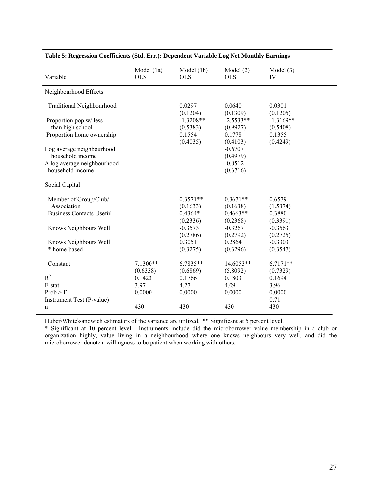| Variable                                               | Model $(1a)$<br><b>OLS</b> | Model $(1b)$<br><b>OLS</b> | Model $(2)$<br><b>OLS</b> | Model $(3)$<br>IV       |
|--------------------------------------------------------|----------------------------|----------------------------|---------------------------|-------------------------|
| Neighbourhood Effects                                  |                            |                            |                           |                         |
| <b>Traditional Neighbourhood</b>                       |                            | 0.0297<br>(0.1204)         | 0.0640<br>(0.1309)        | 0.0301<br>(0.1205)      |
| Proportion pop w/ less<br>than high school             |                            | $-1.3208**$<br>(0.5383)    | $-2.5533**$<br>(0.9927)   | $-1.3169**$<br>(0.5408) |
| Proportion home ownership                              |                            | 0.1554<br>(0.4035)         | 0.1778<br>(0.4103)        | 0.1355<br>(0.4249)      |
| Log average neighbourhood<br>household income          |                            |                            | $-0.6707$<br>(0.4979)     |                         |
| $\Delta$ log average neighbourhood<br>household income |                            |                            | $-0.0512$<br>(0.6716)     |                         |
| Social Capital                                         |                            |                            |                           |                         |
| Member of Group/Club/                                  |                            | $0.3571**$                 | $0.3671**$                | 0.6579                  |
| Association                                            |                            | (0.1633)                   | (0.1638)                  | (1.5374)                |
| <b>Business Contacts Useful</b>                        |                            | $0.4364*$                  | $0.4663**$                | 0.3880                  |
|                                                        |                            | (0.2336)<br>$-0.3573$      | (0.2368)<br>$-0.3267$     | (0.3391)<br>$-0.3563$   |
| Knows Neighbours Well                                  |                            | (0.2786)                   | (0.2792)                  | (0.2725)                |
| Knows Neighbours Well                                  |                            | 0.3051                     | 0.2864                    | $-0.3303$               |
| * home-based                                           |                            | (0.3275)                   | (0.3296)                  | (0.3547)                |
| Constant                                               | 7.1300**                   | $6.7835**$                 | 14.6053**                 | $6.7171**$              |
|                                                        | (0.6338)                   | (0.6869)                   | (5.8092)                  | (0.7329)                |
| $R^2$                                                  | 0.1423                     | 0.1766                     | 0.1803                    | 0.1694                  |
| F-stat                                                 | 3.97                       | 4.27                       | 4.09                      | 3.96                    |
| Prob > F                                               | 0.0000                     | 0.0000                     | 0.0000                    | 0.0000                  |
| Instrument Test (P-value)                              |                            |                            |                           | 0.71                    |
| n                                                      | 430                        | 430                        | 430                       | 430                     |
|                                                        |                            |                            |                           |                         |

#### **Table 5: Regression Coefficients (Std. Err.): Dependent Variable Log Net Monthly Earnings**

Huber\White\sandwich estimators of the variance are utilized. \*\* Significant at 5 percent level.

\* Significant at 10 percent level. Instruments include did the microborrower value membership in a club or organization highly, value living in a neighbourhood where one knows neighbours very well, and did the microborrower denote a willingness to be patient when working with others.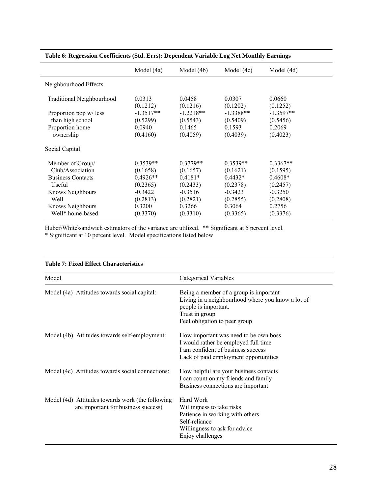|                                                            | Model (4a)                        | Model (4b)                        | Model (4c)                        | Model (4d)                        |
|------------------------------------------------------------|-----------------------------------|-----------------------------------|-----------------------------------|-----------------------------------|
| Neighbourhood Effects                                      |                                   |                                   |                                   |                                   |
| <b>Traditional Neighbourhood</b><br>Proportion pop w/ less | 0.0313<br>(0.1212)<br>$-1.3517**$ | 0.0458<br>(0.1216)<br>$-1.2218**$ | 0.0307<br>(0.1202)<br>$-1.3388**$ | 0.0660<br>(0.1252)<br>$-1.3597**$ |
| than high school                                           | (0.5299)                          | (0.5543)                          | (0.5409)                          | (0.5456)                          |
| Proportion home<br>ownership                               | 0.0940<br>(0.4160)                | 0.1465<br>(0.4059)                | 0.1593<br>(0.4039)                | 0.2069<br>(0.4023)                |
| Social Capital                                             |                                   |                                   |                                   |                                   |
| Member of Group/                                           | $0.3539**$                        | $0.3779**$                        | $0.3539**$                        | $0.3367**$                        |
| Club/Association                                           | (0.1658)                          | (0.1657)                          | (0.1621)                          | (0.1595)                          |
| <b>Business Contacts</b>                                   | $0.4926**$                        | $0.4181*$                         | $0.4432*$                         | $0.4608*$                         |
| Useful                                                     | (0.2365)                          | (0.2433)                          | (0.2378)                          | (0.2457)                          |
| Knows Neighbours<br>Well                                   | $-0.3422$<br>(0.2813)             | $-0.3516$<br>(0.2821)             | $-0.3423$<br>(0.2855)             | $-0.3250$<br>(0.2808)             |
| Knows Neighbours<br>Well* home-based                       | 0.3200<br>(0.3370)                | 0.3266<br>(0.3310)                | 0.3064<br>(0.3365)                | 0.2756<br>(0.3376)                |
|                                                            |                                   |                                   |                                   |                                   |

#### **Table 6: Regression Coefficients (Std. Errs): Dependent Variable Log Net Monthly Earnings**

Huber\White\sandwich estimators of the variance are utilized. \*\* Significant at 5 percent level. \* Significant at 10 percent level. Model specifications listed below

| Table 7: Fixed Effect Characteristics |                                                                                         |                                                                                                                                                                        |  |  |
|---------------------------------------|-----------------------------------------------------------------------------------------|------------------------------------------------------------------------------------------------------------------------------------------------------------------------|--|--|
| Model                                 |                                                                                         | Categorical Variables                                                                                                                                                  |  |  |
|                                       | Model (4a) Attitudes towards social capital:                                            | Being a member of a group is important<br>Living in a neighbourhood where you know a lot of<br>people is important.<br>Trust in group<br>Feel obligation to peer group |  |  |
|                                       | Model (4b) Attitudes towards self-employment:                                           | How important was need to be own boss<br>I would rather be employed full time<br>I am confident of business success<br>Lack of paid employment opportunities           |  |  |
|                                       | Model (4c) Attitudes towards social connections:                                        | How helpful are your business contacts<br>I can count on my friends and family<br>Business connections are important                                                   |  |  |
|                                       | Model (4d) Attitudes towards work (the following<br>are important for business success) | Hard Work<br>Willingness to take risks<br>Patience in working with others<br>Self-reliance<br>Willingness to ask for advice<br>Enjoy challenges                        |  |  |

#### **Table 7: Fixed Effect Characteristics**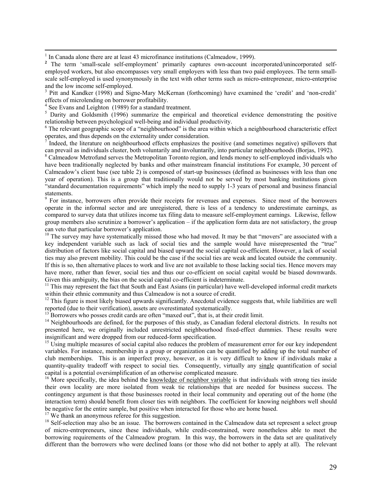$\frac{1}{1}$ 

 In Canada alone there are at least 43 microfinance institutions (Calmeadow, 1999). **<sup>2</sup>** The term 'small-scale self-employment' primarily captures own-account incorporated/unincorporated selfemployed workers, but also encompasses very small employers with less than two paid employees. The term smallscale self-employed is used synonymously in the text with other terms such as micro-entrepreneur, micro-enterprise and the low income self-employed.

<sup>3</sup> Pitt and Kandker (1998) and Signe-Mary McKernan (forthcoming) have examined the 'credit' and 'non-credit' effects of microlending on borrower profitability.<br><sup>4</sup> See Evans and Leighton (1989) for a standard treatment.

<sup>4</sup> See Evans and Leighton (1989) for a standard treatment.<br><sup>5</sup> Darity and Goldsmith (1996) summarize the empirical and theoretical evidence demonstrating the positive relationship between psychological well-being and individual productivity. 6

<sup>6</sup> The relevant geographic scope of a "neighbourhood" is the area within which a neighbourhood characteristic effect operates, and thus depends on the externality under consideration. 7

 $\frac{1}{10}$  Indeed, the literature on neighbourhood effects emphasizes the positive (and sometimes negative) spillovers that can prevail as individuals cluster, both voluntarily and involuntarily, into particular neighbourhoods (Borjas, 1992). <sup>8</sup>

<sup>8</sup> Calmeadow Metrofund serves the Metropolitan Toronto region, and lends money to self-employed individuals who have been traditionally neglected by banks and other mainstream financial institutions For example, 30 percent of Calmeadow's client base (see table 2) is composed of start-up businesses (defined as businesses with less than one year of operation). This is a group that traditionally would not be served by most banking institutions given "standard documentation requirements" which imply the need to supply 1-3 years of personal and business financial statements.

<sup>9</sup> For instance, borrowers often provide their receipts for revenues and expenses. Since most of the borrowers operate in the informal sector and are unregistered, there is less of a tendency to underestimate earnings, as compared to survey data that utilizes income tax filing data to measure self-employment earnings. Likewise, fellow group members also scrutinize a borrower's application – if the application form data are not satisfactory, the group can veto that particular borrower's application.<br><sup>10</sup> The survey may have systematically missed those who had moved. It may be that "movers" are associated with a

key independent variable such as lack of social ties and the sample would have misrepresented the "true" distribution of factors like social capital and biased upward the social capital co-efficient. However, a lack of social ties may also prevent mobility. This could be the case if the social ties are weak and located outside the community. If this is so, then alternative places to work and live are not available to those lacking social ties. Hence movers may have more, rather than fewer, social ties and thus our co-efficient on social capital would be biased downwards.<br>Given this ambiguity, the bias on the social capital co-efficient is indeterminate.

<sup>11</sup> This may represent the fact that South and East Asians (in particular) have well-developed informal credit markets within their ethnic community and thus Calmeadow is not a source of credit.

 $12$  This figure is most likely biased upwards significantly. Anecdotal evidence suggests that, while liabilities are well reported (due to their verification), assets are overestimated systematically.

 $^{13}$  Borrowers who posses credit cards are often "maxed out", that is, at their credit limit.<br><sup>14</sup> Neighbourhoods are defined, for the purposes of this study, as Canadian federal electoral districts. In results not presented here, we originally included unrestricted neighbourhood fixed-effect dummies. These results were insignificant and were dropped from our reduced-form specification.<br><sup>15</sup> Using multiple measures of social capital also reduces the problem of measurement error for our key independent

variables. For instance, membership in a group or organization can be quantified by adding up the total number of club memberships. This is an imperfect proxy, however, as it is very difficult to know if individuals make a quantity-quality tradeoff with respect to social ties. Consequently, virtually any single quantification of social capital is a potential oversimplification of an otherwise complicated measure.

 $16$  More specifically, the idea behind the knowledge of neighbor variable is that individuals with strong ties inside their own locality are more isolated from weak tie relationships that are needed for business success. The contingency argument is that those businesses rooted in their local community and operating out of the home (the interaction term) should benefit from closer ties with neighbors. The coefficient for knowing neighbors well should be negative for the entire sample, but positive when interacted for those who are home based.<br><sup>17</sup> We thank an anonymous referee for this suggestion.<br><sup>18</sup> Self-selection may also be an issue. The borrowers contained in the

of micro-entrepreneurs, since these individuals, while credit-constrained, were nonetheless able to meet the borrowing requirements of the Calmeadow program. In this way, the borrowers in the data set are qualitatively different than the borrowers who were declined loans (or those who did not bother to apply at all). The relevant